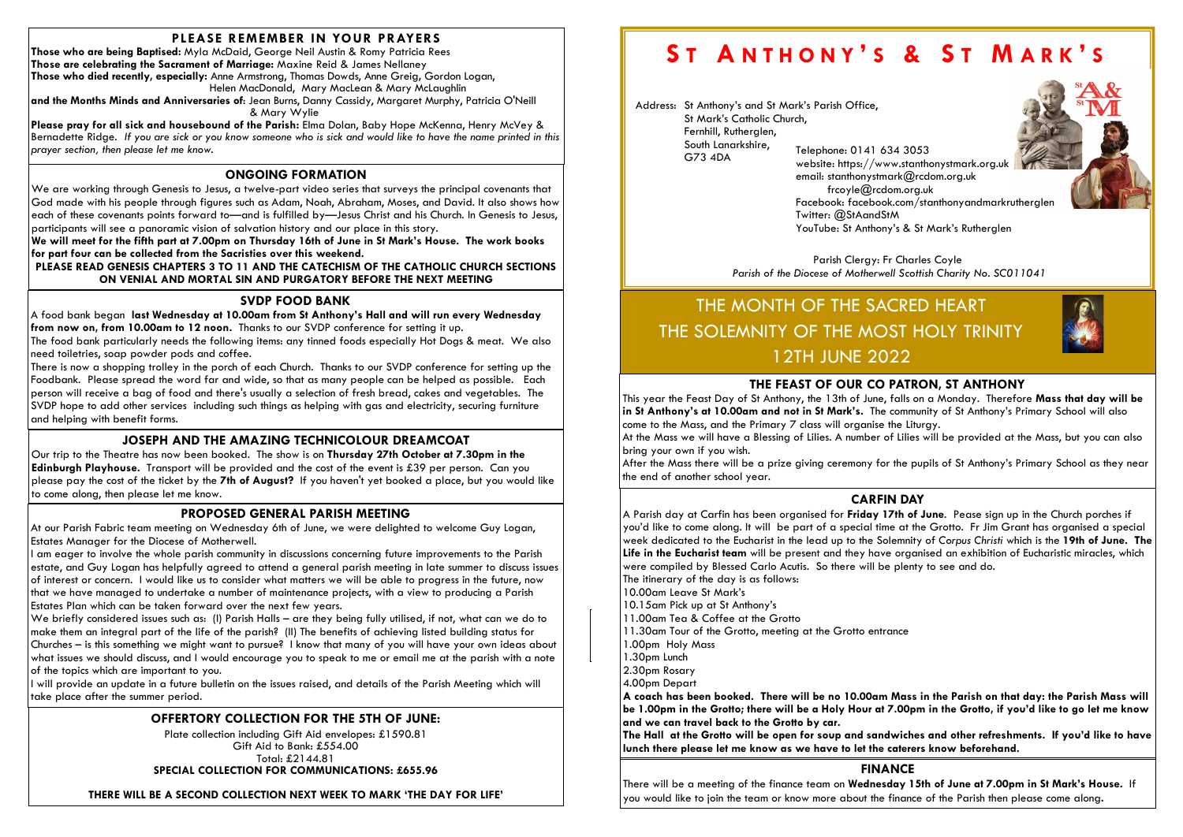# PLEASE REMEMBER IN YOUR PRAYERS

Those who are being Baptised: Myla McDaid, George Neil Austin & Romy Patricia Rees Those are celebrating the Sacrament of Marriage: Maxine Reid & James Nellaney Those who died recently, especially: Anne Armstrong, Thomas Dowds, Anne Greig, Gordon Logan, Helen MacDonald, Mary MacLean & Mary McLaughlin and the Months Minds and Anniversaries of: Jean Burns, Danny Cassidy, Margaret Murphy, Patricia O'Neill

Please pray for all sick and housebound of the Parish: Elma Dolan, Baby Hope McKenna, Henry McVey & Bernadette Ridge. If you are sick or you know someone who is sick and would like to have the name printed in this prayer section, then please let me know.

& Mary Wylie

# OFFERTORY COLLECTION FOR THE 5TH OF JUNE:

Plate collection including Gift Aid envelopes: £1590.81 Gift Aid to Bank: £554.00 Total: £2144.81 SPECIAL COLLECTION FOR COMMUNICATIONS: £655.96

THERE WILL BE A SECOND COLLECTION NEXT WEEK TO MARK 'THE DAY FOR LIFE'

# ST ANTHONY'S & ST MARK'S

# ONGOING FORMATION

Our trip to the Theatre has now been booked. The show is on Thursday 27th October at 7.30pm in the Edinburgh Playhouse. Transport will be provided and the cost of the event is £39 per person. Can you please pay the cost of the ticket by the 7th of August? If you haven't yet booked a place, but you would like to come along, then please let me know.

We are working through Genesis to Jesus, a twelve-part video series that surveys the principal covenants that God made with his people through figures such as Adam, Noah, Abraham, Moses, and David. It also shows how each of these covenants points forward to—and is fulfilled by—Jesus Christ and his Church. In Genesis to Jesus, participants will see a panoramic vision of salvation history and our place in this story.

We will meet for the fifth part at 7.00pm on Thursday 16th of June in St Mark's House. The work books for part four can be collected from the Sacristies over this weekend.

PLEASE READ GENESIS CHAPTERS 3 TO 11 AND THE CATECHISM OF THE CATHOLIC CHURCH SECTIONS ON VENIAL AND MORTAL SIN AND PURGATORY BEFORE THE NEXT MEETING

# JOSEPH AND THE AMAZING TECHNICOLOUR DREAMCOAT

We briefly considered issues such as: (I) Parish Halls – are they being fully utilised, if not, what can we do to make them an integral part of the life of the parish? (II) The benefits of achieving listed building status for Churches – is this something we might want to pursue? I know that many of you will have your own ideas about what issues we should discuss, and I would encourage you to speak to me or email me at the parish with a note of the topics which are important to you.

# SVDP FOOD BANK

Parish Clergy: Fr Charles Coyle Parish of the Diocese of Motherwell Scottish Charity No. SC011041

A food bank began last Wednesday at 10.00am from St Anthony's Hall and will run every Wednesday from now on, from 10.00am to 12 noon. Thanks to our SVDP conference for setting it up.

The food bank particularly needs the following items: any tinned foods especially Hot Dogs & meat. We also need toiletries, soap powder pods and coffee.

There is now a shopping trolley in the porch of each Church. Thanks to our SVDP conference for setting up the Foodbank. Please spread the word far and wide, so that as many people can be helped as possible. Each person will receive a bag of food and there's usually a selection of fresh bread, cakes and vegetables. The SVDP hope to add other services including such things as helping with gas and electricity, securing furniture and helping with benefit forms.

> 11.30am Tour of the Grotto, meeting at the Grotto entrance Anthony's. 1.30pm Lunch A Parish day at Carfin has been organised for Friday 17th of June. Pease sign up in the Church porches if you'd like to come along. It will be part of a special time at the Grotto. Fr Jim Grant has organised a special week dedicated to the Eucharist in the lead up to the Solemnity of Corpus Christi which is the 19th of June. The Life in the Eucharist team will be present and they have organised an exhibition of Eucharistic miracles, which were compiled by Blessed Carlo Acutis. So there will be plenty to see and do. The itinerary of the day is as follows: 10.00am Leave St Mark's 10.15am Pick up at St Anthony's 11.00am Tea & Coffee at the Grotto 1.00pm Holy Mass 2.30pm Rosary 4.00pm Depart

A coach has been booked. There will be no 10.00am Mass in the Parish on that day: the Parish Mass will be 1.00pm in the Grotto; there will be a Holy Hour at 7.00pm in the Grotto, if you'd like to go let me know and we can travel back to the Grotto by car.

## PROPOSED GENERAL PARISH MEETING

At our Parish Fabric team meeting on Wednesday 6th of June, we were delighted to welcome Guy Logan, Estates Manager for the Diocese of Motherwell.

This year the Feast Day of St Anthony, the 13th of June, falls on a Monday. Therefore Mass that day will be in St Anthony's at 10.00am and not in St Mark's. The community of St Anthony's Primary School will also come to the Mass, and the Primary 7 class will organise the Liturgy. At the Mass we will have a Blessing of Lilies. A number of Lilies will be provided at the Mass, but you can also bring your own if you wish.

I am eager to involve the whole parish community in discussions concerning future improvements to the Parish estate, and Guy Logan has helpfully agreed to attend a general parish meeting in late summer to discuss issues of interest or concern. I would like us to consider what matters we will be able to progress in the future, now that we have managed to undertake a number of maintenance projects, with a view to producing a Parish Estates Plan which can be taken forward over the next few years.

I will provide an update in a future bulletin on the issues raised, and details of the Parish Meeting which will take place after the summer period.

Address: St Anthony's and St Mark's Parish Office, St Mark's Catholic Church, Fernhill, Rutherglen, South Lanarkshire, G73 4DA Telephone: 0141 634 3053

website: https://www.stanthonystmark.org.uk Facebook: facebook.com/stanthonyandmarkrutherglen

email: stanthonystmark@rcdom.org.uk frcoyle@rcdom.org.uk Twitter: @StAandStM YouTube: St Anthony's & St Mark's Rutherglen

# THE MONTH OF THE SACRED HEART THE SOLEMNITY OF THE MOST HOLY TRINITY 12TH JUNE 2022

# FINANCE

There will be a meeting of the finance team on Wednesday 15th of June at 7.00pm in St Mark's House. If you would like to join the team or know more about the finance of the Parish then please come along.

# CARFIN DAY

The Hall at the Grotto will be open for soup and sandwiches and other refreshments. If you'd like to have lunch there please let me know as we have to let the caterers know beforehand.

# THE FEAST OF OUR CO PATRON, ST ANTHONY

After the Mass there will be a prize giving ceremony for the pupils of St Anthony's Primary School as they near the end of another school year.